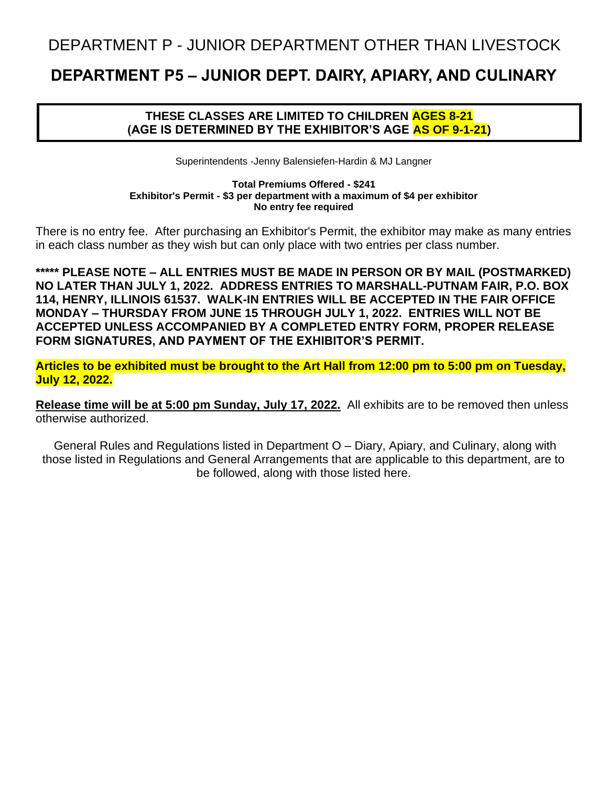## DEPARTMENT P - JUNIOR DEPARTMENT OTHER THAN LIVESTOCK

# **DEPARTMENT P5 – JUNIOR DEPT. DAIRY, APIARY, AND CULINARY**

## **THESE CLASSES ARE LIMITED TO CHILDREN AGES 8-21 (AGE IS DETERMINED BY THE EXHIBITOR'S AGE AS OF 9-1-21)**

Superintendents -Jenny Balensiefen-Hardin & MJ Langner

**Total Premiums Offered - \$241 Exhibitor's Permit - \$3 per department with a maximum of \$4 per exhibitor No entry fee required**

There is no entry fee. After purchasing an Exhibitor's Permit, the exhibitor may make as many entries in each class number as they wish but can only place with two entries per class number.

**\*\*\*\*\* PLEASE NOTE – ALL ENTRIES MUST BE MADE IN PERSON OR BY MAIL (POSTMARKED) NO LATER THAN JULY 1, 2022. ADDRESS ENTRIES TO MARSHALL-PUTNAM FAIR, P.O. BOX 114, HENRY, ILLINOIS 61537. WALK-IN ENTRIES WILL BE ACCEPTED IN THE FAIR OFFICE MONDAY – THURSDAY FROM JUNE 15 THROUGH JULY 1, 2022. ENTRIES WILL NOT BE ACCEPTED UNLESS ACCOMPANIED BY A COMPLETED ENTRY FORM, PROPER RELEASE FORM SIGNATURES, AND PAYMENT OF THE EXHIBITOR'S PERMIT.**

**Articles to be exhibited must be brought to the Art Hall from 12:00 pm to 5:00 pm on Tuesday, July 12, 2022.**

**Release time will be at 5:00 pm Sunday, July 17, 2022.** All exhibits are to be removed then unless otherwise authorized.

General Rules and Regulations listed in Department O – Diary, Apiary, and Culinary, along with those listed in Regulations and General Arrangements that are applicable to this department, are to be followed, along with those listed here.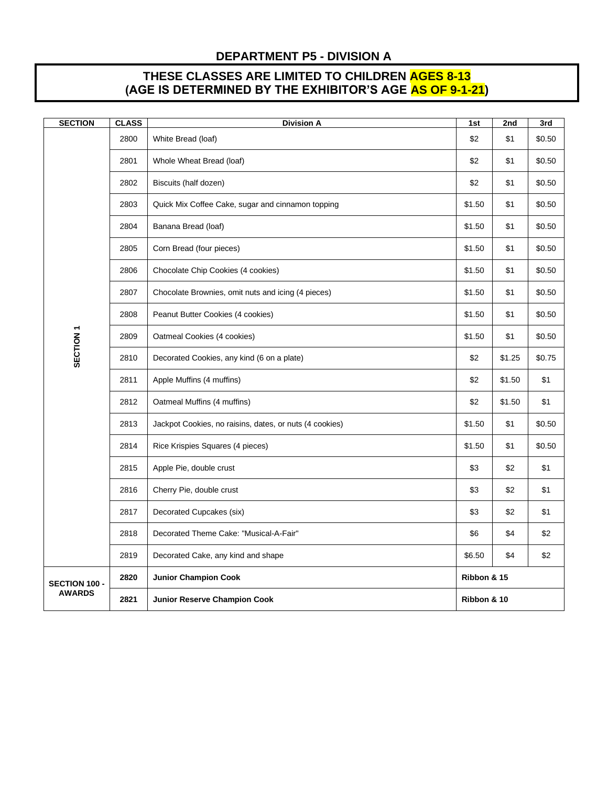#### **DEPARTMENT P5 - DIVISION A**

## **THESE CLASSES ARE LIMITED TO CHILDREN AGES 8-13 (AGE IS DETERMINED BY THE EXHIBITOR'S AGE AS OF 9-1-21)**

| <b>SECTION</b>                 | <b>CLASS</b> | <b>Division A</b>                                       | 1st         | 2nd    | 3rd    |  |
|--------------------------------|--------------|---------------------------------------------------------|-------------|--------|--------|--|
| SECTION <sub>1</sub>           | 2800         | White Bread (loaf)                                      | \$2         | \$1    | \$0.50 |  |
|                                | 2801         | Whole Wheat Bread (loaf)                                | \$2         | \$1    | \$0.50 |  |
|                                | 2802         | Biscuits (half dozen)                                   | \$2         | \$1    | \$0.50 |  |
|                                | 2803         | Quick Mix Coffee Cake, sugar and cinnamon topping       | \$1.50      | \$1    | \$0.50 |  |
|                                | 2804         | Banana Bread (loaf)                                     | \$1.50      | \$1    | \$0.50 |  |
|                                | 2805         | Corn Bread (four pieces)                                | \$1.50      | \$1    | \$0.50 |  |
|                                | 2806         | Chocolate Chip Cookies (4 cookies)                      | \$1.50      | \$1    | \$0.50 |  |
|                                | 2807         | Chocolate Brownies, omit nuts and icing (4 pieces)      | \$1.50      | \$1    | \$0.50 |  |
|                                | 2808         | Peanut Butter Cookies (4 cookies)                       | \$1.50      | \$1    | \$0.50 |  |
|                                | 2809         | Oatmeal Cookies (4 cookies)                             | \$1.50      | \$1    | \$0.50 |  |
|                                | 2810         | Decorated Cookies, any kind (6 on a plate)              | \$2         | \$1.25 | \$0.75 |  |
|                                | 2811         | Apple Muffins (4 muffins)                               | \$2         | \$1.50 | \$1    |  |
|                                | 2812         | Oatmeal Muffins (4 muffins)                             | \$2         | \$1.50 | \$1    |  |
|                                | 2813         | Jackpot Cookies, no raisins, dates, or nuts (4 cookies) | \$1.50      | \$1    | \$0.50 |  |
|                                | 2814         | Rice Krispies Squares (4 pieces)                        | \$1.50      | \$1    | \$0.50 |  |
|                                | 2815         | Apple Pie, double crust                                 | \$3         | \$2    | \$1    |  |
|                                | 2816         | Cherry Pie, double crust                                | \$3         | \$2    | \$1    |  |
|                                | 2817         | Decorated Cupcakes (six)                                | \$3         | \$2    | \$1    |  |
|                                | 2818         | Decorated Theme Cake: "Musical-A-Fair"                  | \$6         | \$4    | \$2    |  |
|                                | 2819         | Decorated Cake, any kind and shape                      | \$6.50      | \$4    | \$2    |  |
| SECTION 100 -<br><b>AWARDS</b> | 2820         | <b>Junior Champion Cook</b>                             | Ribbon & 15 |        |        |  |
|                                | 2821         | <b>Junior Reserve Champion Cook</b>                     | Ribbon & 10 |        |        |  |